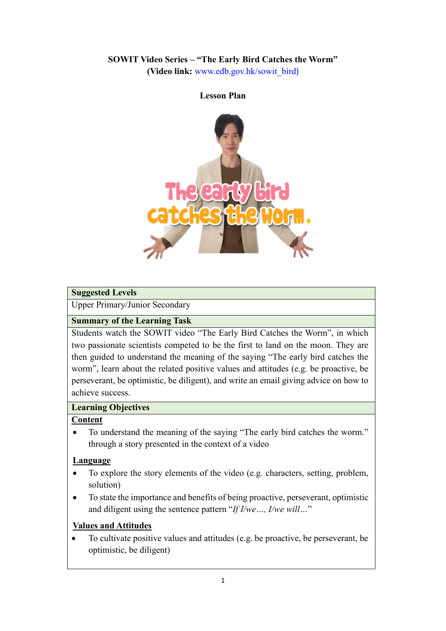# **SOWIT Video Series – "The Early Bird Catches the Worm"**

**(Video link:** [www.edb.gov.hk/sowit\\_bird](http://www.edb.gov.hk/sowit_bird))

# **Lesson Plan**

#### **Suggested Levels**

Upper Primary/Junior Secondary

#### **Summary of the Learning Task**

Students watch the SOWIT video "The Early Bird Catches the Worm", in which two passionate scientists competed to be the first to land on the moon. They are then guided to understand the meaning of the saying "The early bird catches the worm", learn about the related positive values and attitudes (e.g. be proactive, be perseverant, be optimistic, be diligent), and write an email giving advice on how to achieve success.

#### **Learning Objectives**

#### **Content**

• To understand the meaning of the saying "The early bird catches the worm." through a story presented in the context of a video

#### **Language**

- To explore the story elements of the video (e.g. characters, setting, problem, solution)
- To state the importance and benefits of being proactive, perseverant, optimistic and diligent using the sentence pattern "*If I/we…, I/we will…*"

#### **Values and Attitudes**

 To cultivate positive values and attitudes (e.g. be proactive, be perseverant, be optimistic, be diligent)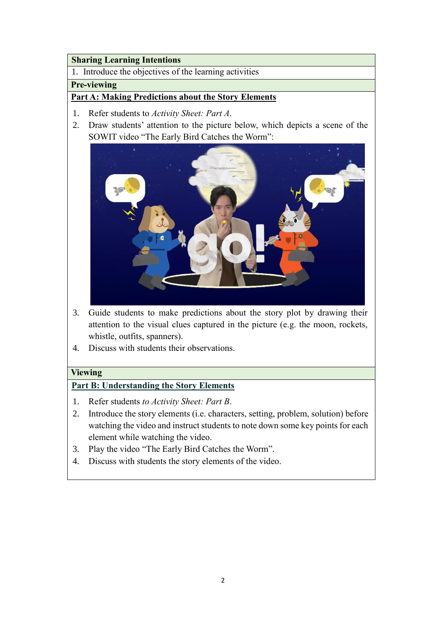#### **Sharing Learning Intentions**

1. Introduce the objectives of the learning activities

#### **Pre-viewing**

#### **Part A: Making Predictions about the Story Elements**

- 1. Refer students to *Activity Sheet: Part A*.
- 2. Draw students' attention to the picture below, which depicts a scene of the SOWIT video "The Early Bird Catches the Worm":



- 3. Guide students to make predictions about the story plot by drawing their attention to the visual clues captured in the picture (e.g. the moon, rockets, whistle, outfits, spanners).
- 4. Discuss with students their observations.

#### **Viewing**

#### **Part B: Understanding the Story Elements**

- 1. Refer students *to Activity Sheet: Part B*.
- 2. Introduce the story elements (i.e. characters, setting, problem, solution) before watching the video and instruct students to note down some key points for each element while watching the video.
- 3. Play the video "The Early Bird Catches the Worm".
- 4. Discuss with students the story elements of the video.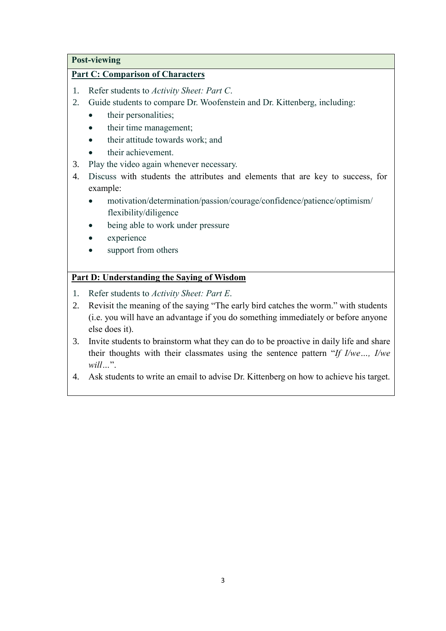#### **Post-viewing**

#### **Part C: Comparison of Characters**

- 1. Refer students to *Activity Sheet: Part C*.
- 2. Guide students to compare Dr. Woofenstein and Dr. Kittenberg, including:
	- their personalities;
	- their time management;
	- their attitude towards work; and
	- their achievement.
- 3. Play the video again whenever necessary.
- 4. Discuss with students the attributes and elements that are key to success, for example:
	- motivation/determination/passion/courage/confidence/patience/optimism/ flexibility/diligence
	- being able to work under pressure
	- experience
	- support from others

#### **Part D: Understanding the Saying of Wisdom**

- 1. Refer students to *Activity Sheet: Part E*.
- 2. Revisit the meaning of the saying "The early bird catches the worm." with students (i.e. you will have an advantage if you do something immediately or before anyone else does it).
- 3. Invite students to brainstorm what they can do to be proactive in daily life and share their thoughts with their classmates using the sentence pattern "*If I/we…, I/we will…*".
- 4. Ask students to write an email to advise Dr. Kittenberg on how to achieve his target.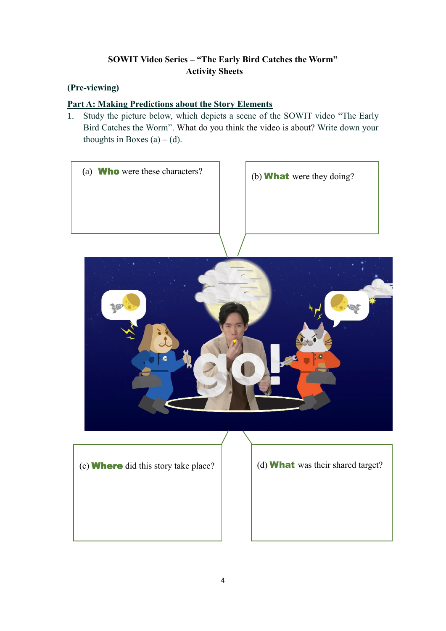# **SOWIT Video Series – "The Early Bird Catches the Worm" Activity Sheets**

# **(Pre-viewing)**

## **Part A: Making Predictions about the Story Elements**

1. Study the picture below, which depicts a scene of the SOWIT video "The Early Bird Catches the Worm". What do you think the video is about? Write down your thoughts in Boxes  $(a) - (d)$ .





(c) Where did this story take place?

(d) What was their shared target?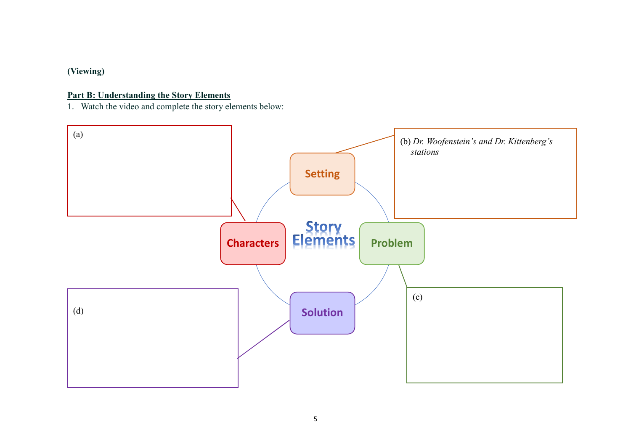# **(Viewing)**

# **Part B: Understanding the Story Elements**

1. Watch the video and complete the story elements below:

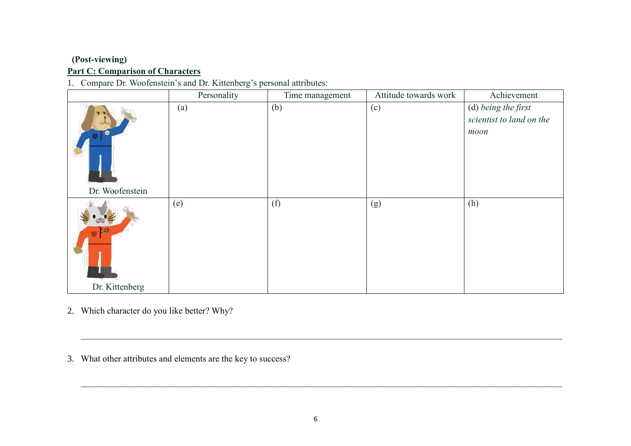# **(Post-viewing) Part C: Comparison of Characters**

# 1. Compare Dr. Woofenstein's and Dr. Kittenberg's personal attributes:

|                 | Personality | Time management | Attitude towards work | Achievement                                             |
|-----------------|-------------|-----------------|-----------------------|---------------------------------------------------------|
| JC)             | (a)         | (b)             | (c)                   | (d) being the first<br>scientist to land on the<br>moon |
| Dr. Woofenstein |             |                 |                       |                                                         |
|                 | (e)         | (f)             | (g)                   | (h)                                                     |
| Dr. Kittenberg  |             |                 |                       |                                                         |

- 2. Which character do you like better? Why?
- 3. What other attributes and elements are the key to success?

 $\_$  , and the set of the set of the set of the set of the set of the set of the set of the set of the set of the set of the set of the set of the set of the set of the set of the set of the set of the set of the set of th

 $\_$  , and the set of the set of the set of the set of the set of the set of the set of the set of the set of the set of the set of the set of the set of the set of the set of the set of the set of the set of the set of th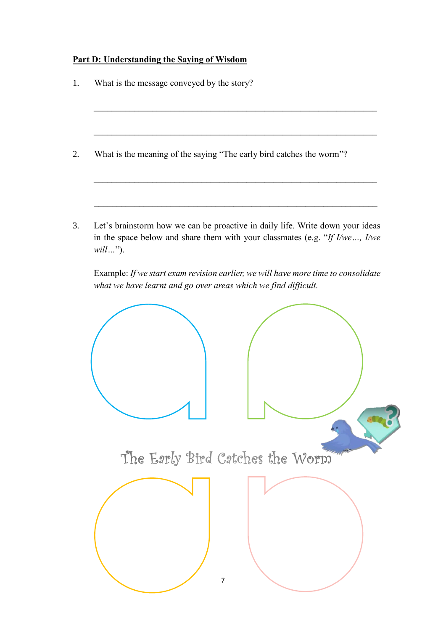# **Part D: Understanding the Saying of Wisdom**

|  | What is the meaning of the saying "The early bird catches the worm"?<br>what we have learnt and go over areas which we find difficult. |                | Let's brainstorm how we can be proactive in daily life. Write down your ideas<br>in the space below and share them with your classmates (e.g. "If $I/we$ , $I/we$<br>Example: If we start exam revision earlier, we will have more time to consolidate |
|--|----------------------------------------------------------------------------------------------------------------------------------------|----------------|--------------------------------------------------------------------------------------------------------------------------------------------------------------------------------------------------------------------------------------------------------|
|  |                                                                                                                                        |                |                                                                                                                                                                                                                                                        |
|  |                                                                                                                                        |                |                                                                                                                                                                                                                                                        |
|  |                                                                                                                                        |                |                                                                                                                                                                                                                                                        |
|  |                                                                                                                                        |                |                                                                                                                                                                                                                                                        |
|  |                                                                                                                                        |                |                                                                                                                                                                                                                                                        |
|  |                                                                                                                                        |                |                                                                                                                                                                                                                                                        |
|  |                                                                                                                                        |                |                                                                                                                                                                                                                                                        |
|  |                                                                                                                                        | $\overline{7}$ | The Early Bird Catches the Worm                                                                                                                                                                                                                        |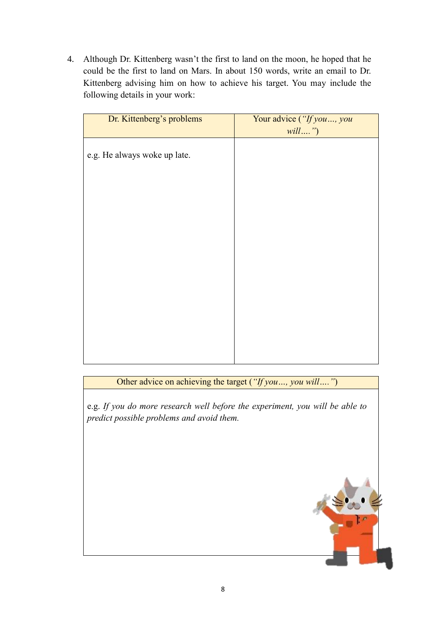4. Although Dr. Kittenberg wasn't the first to land on the moon, he hoped that he could be the first to land on Mars. In about 150 words, write an email to Dr. Kittenberg advising him on how to achieve his target. You may include the following details in your work:

| Dr. Kittenberg's problems    | Your advice ("If you, you<br>will") |
|------------------------------|-------------------------------------|
| e.g. He always woke up late. |                                     |
|                              |                                     |
|                              |                                     |
|                              |                                     |
|                              |                                     |
|                              |                                     |
|                              |                                     |
|                              |                                     |
|                              |                                     |

Other advice on achieving the target (*"If you…, you will…."*)

e.g. *If you do more research well before the experiment, you will be able to predict possible problems and avoid them.*